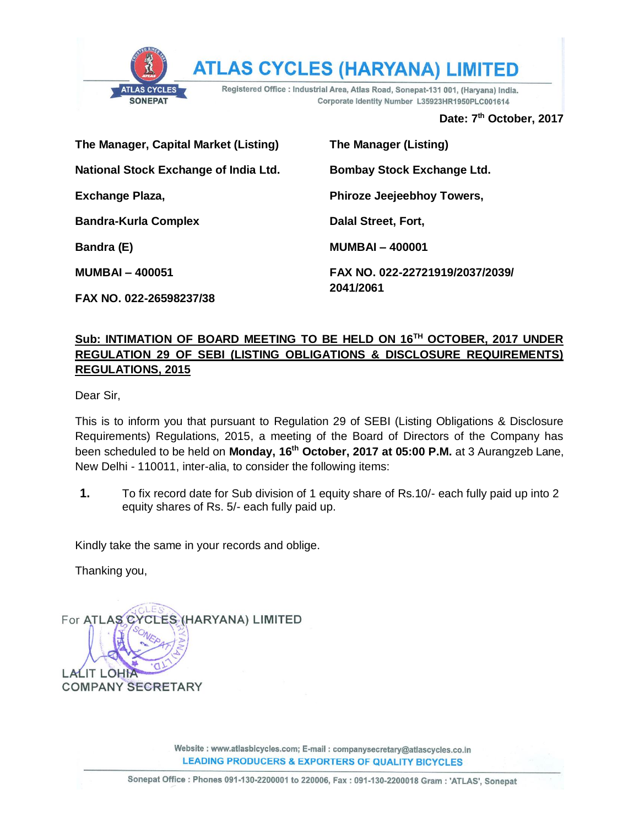

**ATLAS CYCLES (HARYANA) LIMI** TED

Registered Office : Industrial Area, Atlas Road, Sonepat-131 001, (Haryana) India. Corporate Identity Number L35923HR1950PLC001614

**Date: 7 th October, 2017**

| The Manager, Capital Market (Listing)        | <b>The Manager (Listing)</b>      |
|----------------------------------------------|-----------------------------------|
| <b>National Stock Exchange of India Ltd.</b> | <b>Bombay Stock Exchange Ltd.</b> |
| Exchange Plaza,                              | <b>Phiroze Jeejeebhoy Towers,</b> |
| <b>Bandra-Kurla Complex</b>                  | Dalal Street, Fort,               |
| Bandra (E)                                   | <b>MUMBAI-400001</b>              |
| <b>MUMBAI-400051</b>                         | FAX NO. 022-22721919/2037/2039/   |
| FAX NO. 022-26598237/38                      | 2041/2061                         |

#### **Sub: INTIMATION OF BOARD MEETING TO BE HELD ON 16TH OCTOBER, 2017 UNDER REGULATION 29 OF SEBI (LISTING OBLIGATIONS & DISCLOSURE REQUIREMENTS) REGULATIONS, 2015**

Dear Sir,

This is to inform you that pursuant to Regulation 29 of SEBI (Listing Obligations & Disclosure Requirements) Regulations, 2015, a meeting of the Board of Directors of the Company has been scheduled to be held on **Monday, 16th October, 2017 at 05:00 P.M.** at 3 Aurangzeb Lane, New Delhi - 110011, inter-alia, to consider the following items:

**1.** To fix record date for Sub division of 1 equity share of Rs.10/- each fully paid up into 2 equity shares of Rs. 5/- each fully paid up.

Kindly take the same in your records and oblige.

Thanking you,

**LALIT LOHIA** 

**COMPANY SECRETARY** 

For ATLAS CYCLES (HARYANA) LIMITED

Website : www.atlasbicycles.com; E-mail : companysecretary@atlascycles.co.in **LEADING PRODUCERS & EXPORTERS OF QUALITY BICYCLES**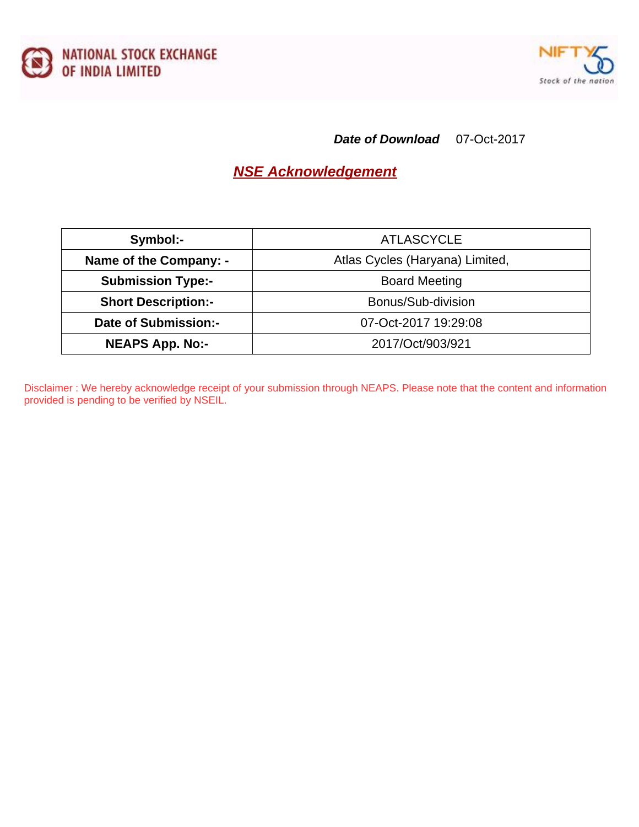



#### **Date of Download** 07-Oct-2017

# **NSE Acknowledgement**

| Symbol:-                    | <b>ATLASCYCLE</b>               |
|-----------------------------|---------------------------------|
| Name of the Company: -      | Atlas Cycles (Haryana) Limited, |
| <b>Submission Type:-</b>    | <b>Board Meeting</b>            |
| <b>Short Description:-</b>  | Bonus/Sub-division              |
| <b>Date of Submission:-</b> | 07-Oct-2017 19:29:08            |
| <b>NEAPS App. No:-</b>      | 2017/Oct/903/921                |

Disclaimer : We hereby acknowledge receipt of your submission through NEAPS. Please note that the content and information provided is pending to be verified by NSEIL.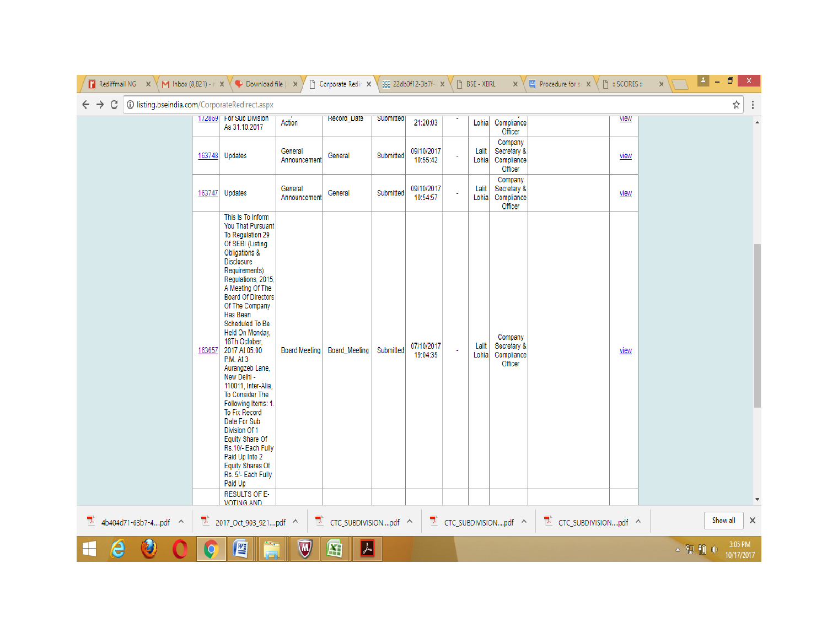| <b>T</b> Rediffmail NG $\times$ Y M Inbox (8,821) - $\cap$ X Y Download file   X   |                |                                                                                                                                                                                                                                                                                                                                                                                                                                                                                                                                                                                                                                           |                         | Corporate Redin X                 |           | 35E 22db0f12-3b7f- x   |    | $\begin{bmatrix} 1 \\ 2 \end{bmatrix}$ BSE - XBRL |                                                 | $\mathbf{x} \times \mathbf{F}$ Procedure for sull $\mathbf{x} \times \mathbf{F}$ | $\mathbb{R}$ : SCORES :: | x | Ł<br>ō   | $\boldsymbol{\mathsf{x}}$ |
|------------------------------------------------------------------------------------|----------------|-------------------------------------------------------------------------------------------------------------------------------------------------------------------------------------------------------------------------------------------------------------------------------------------------------------------------------------------------------------------------------------------------------------------------------------------------------------------------------------------------------------------------------------------------------------------------------------------------------------------------------------------|-------------------------|-----------------------------------|-----------|------------------------|----|---------------------------------------------------|-------------------------------------------------|----------------------------------------------------------------------------------|--------------------------|---|----------|---------------------------|
| C<br>(i) listing.bseindia.com/CorporateRedirect.aspx<br>$\leftarrow$ $\rightarrow$ |                |                                                                                                                                                                                                                                                                                                                                                                                                                                                                                                                                                                                                                                           |                         |                                   |           |                        |    |                                                   |                                                 |                                                                                  |                          |   |          | ☆                         |
|                                                                                    |                | 1/2869 For Sub Division<br>As 31.10.2017                                                                                                                                                                                                                                                                                                                                                                                                                                                                                                                                                                                                  | Action                  | Record_Date                       | Submitted | 21:20:03               |    | Lohia                                             | Compliance<br>Officer                           |                                                                                  | view                     |   |          | A                         |
|                                                                                    |                | 163748 Updates                                                                                                                                                                                                                                                                                                                                                                                                                                                                                                                                                                                                                            | General<br>Announcement | General                           | Submitted | 09/10/2017<br>10:55:42 | ä, | Lalit<br>Lohia                                    | Company<br>Secretary &<br>Compliance<br>Officer |                                                                                  | view                     |   |          |                           |
|                                                                                    |                | 163747 Updates                                                                                                                                                                                                                                                                                                                                                                                                                                                                                                                                                                                                                            | General<br>Announcement | General                           | Submitted | 09/10/2017<br>10:54:57 | ä, | Lalit<br>Lohia                                    | Company<br>Secretary &<br>Compliance<br>Officer |                                                                                  | view                     |   |          |                           |
|                                                                                    | 163657         | This Is To Inform<br>You That Pursuant<br>To Regulation 29<br>Of SEBI (Listing<br>Obligations &<br><b>Disclosure</b><br>Requirements)<br>Regulations, 2015,<br>A Meeting Of The<br><b>Board Of Directors</b><br>Of The Company<br>Has Been<br>Scheduled To Be<br>Held On Monday,<br>16Th October,<br>2017 At 05:00<br>P.M. At 3<br>Aurangzeb Lane,<br>New Delhi -<br>110011, Inter-Alia,<br>To Consider The<br>Following Items: 1<br><b>To Fix Record</b><br>Date For Sub<br>Division Of 1<br>Equity Share Of<br>Rs.10/- Each Fully<br>Paid Up Into 2<br><b>Equity Shares Of</b><br>Rs. 5/- Each Fully<br>Paid Up<br><b>RESULTS OF E-</b> | <b>Board Meeting</b>    | Board_Meeting                     | Submitted | 07/10/2017<br>19:04:35 | ÷, | Lalit<br>Lohia                                    | Company<br>Secretary &<br>Compliance<br>Officer |                                                                                  | view                     |   |          |                           |
|                                                                                    |                | <b>VOTING AND</b>                                                                                                                                                                                                                                                                                                                                                                                                                                                                                                                                                                                                                         |                         |                                   |           |                        |    |                                                   |                                                 |                                                                                  |                          |   |          |                           |
| $\frac{1}{2}$ 4b404d71-63b7-4pdf ^                                                 | J.             | 2017_Oct_903_921pdf ^                                                                                                                                                                                                                                                                                                                                                                                                                                                                                                                                                                                                                     |                         | $\mathbb{Z}$ CTC_SUBDIVISIONpdf ^ |           |                        |    |                                                   | $\mathbb{Z}$ CTC_SUBDIVISIONpdf ^               | 7<br>CTC_SUBDIVISIONpdf ^                                                        |                          |   | Show all | $\times$                  |
| e<br>42                                                                            | $\overline{O}$ | E                                                                                                                                                                                                                                                                                                                                                                                                                                                                                                                                                                                                                                         | $\overline{M}$          | $\lambda$<br>匥                    |           |                        |    |                                                   |                                                 |                                                                                  |                          |   | ▲ 空 粗 () | 3:05 PM<br>10/17/2017     |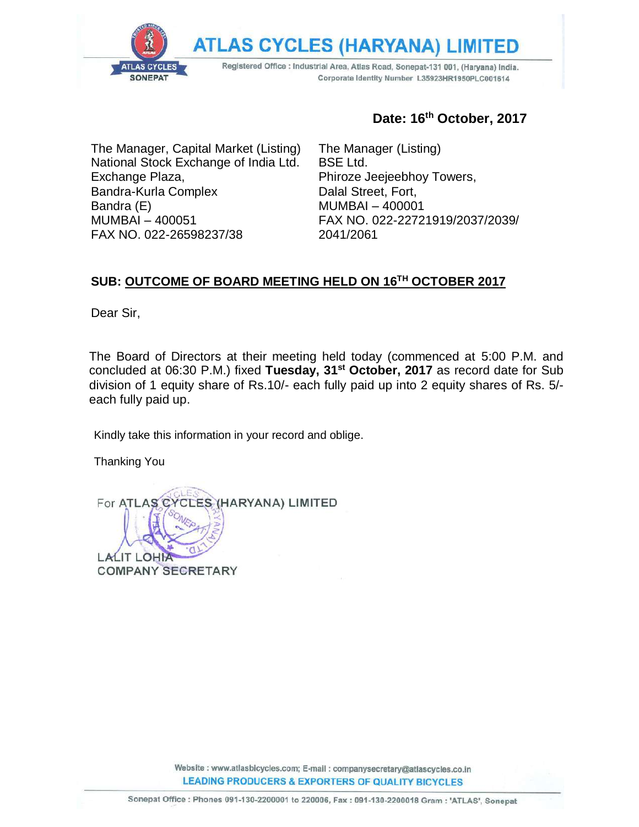**ATLAS CYCLES (HARYANA)** 

Registered Office : Industrial Area, Atlas Road, Sonepat-131 001, (Haryana) India. Corporate Identity Number L35923HR1950PLC001614

The Manager, Capital Market (Listing) National Stock Exchange of India Ltd. Exchange Plaza, Bandra-Kurla Complex Bandra (E) MUMBAI – 400051 FAX NO. 022-26598237/38

**SONEPAT** 

### **Date: 16th October, 2017**

The Manager (Listing) BSE Ltd. Phiroze Jeejeebhoy Towers, Dalal Street, Fort, MUMBAI – 400001 FAX NO. 022-22721919/2037/2039/ 2041/2061

#### **SUB: OUTCOME OF BOARD MEETING HELD ON 16TH OCTOBER 2017**

Dear Sir,

The Board of Directors at their meeting held today (commenced at 5:00 P.M. and concluded at 06:30 P.M.) fixed **Tuesday, 31st October, 2017** as record date for Sub division of 1 equity share of Rs.10/- each fully paid up into 2 equity shares of Rs. 5/ each fully paid up.

Kindly take this information in your record and oblige.

Thanking You

**CLES (HARYANA) LIMITED** For ATLAS<sup>C</sup> **LALIT L COMPANY SECRETARY** 

> Website: www.atlasbicycles.com; E-mail: companysecretary@atlascycles.co.in **LEADING PRODUCERS & EXPORTERS OF QUALITY BICYCLES**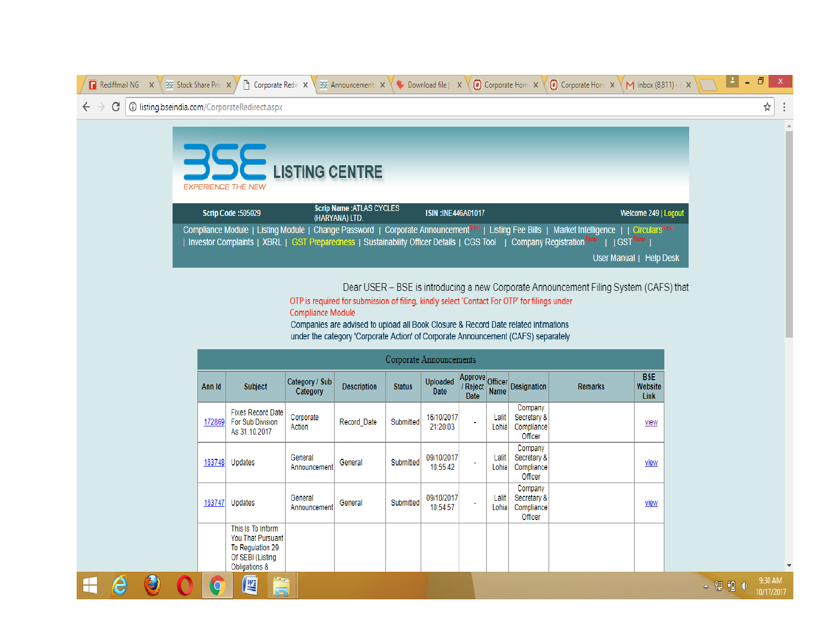

Dear USER - BSE is introducing a new Corporate Announcement Filing System (CAFS) that

OTP is required for submission of filing, kindly select 'Contact For OTP' for filings under **Compliance Module** 

Companies are advised to upload all Book Closure & Record Date related intimations under the category 'Corporate Action' of Corporate Announcement (CAFS) separately

| Corporate Announcements |                                                                                                 |                            |                    |                  |                                |                                  |                |                                                 |                |                               |
|-------------------------|-------------------------------------------------------------------------------------------------|----------------------------|--------------------|------------------|--------------------------------|----------------------------------|----------------|-------------------------------------------------|----------------|-------------------------------|
| Ann Id                  | <b>Subject</b>                                                                                  | Category / Sub<br>Category | <b>Description</b> | <b>Status</b>    | <b>Uploaded</b><br><b>Date</b> | Approve<br>Reject<br><b>Date</b> | <b>Name</b>    | Officer Designation                             | <b>Remarks</b> | <b>BSE</b><br>Website<br>Link |
| 172869                  | <b>Fixes Record Date</b><br><b>For Sub Division</b><br>As 31.10.2017                            | Corporate<br>Action        | Record Date        | Submitted        | 16/10/2017<br>21:20:03         | ٠                                | Lalit<br>Lohia | Company<br>Secretary &<br>Compliance<br>Officer |                | view                          |
| 163748                  | Updates                                                                                         | General<br>Announcement    | General            | Submitted        | 09/10/2017<br>10:55:42         | ٠                                | Lalit<br>Lohia | Company<br>Secretary &<br>Compliance<br>Officer |                | view                          |
| 163747                  | Updates                                                                                         | General<br>Announcement    | General            | <b>Submitted</b> | 09/10/2017<br>10:54:57         | $\blacksquare$                   | Lalit<br>Lohia | Company<br>Secretary &<br>Compliance<br>Officer |                | view                          |
|                         | This Is To Inform<br>You That Pursuant<br>To Regulation 29<br>Of SEBI (Listing<br>Obligations & |                            |                    |                  |                                |                                  |                |                                                 |                |                               |
|                         | m.<br>些<br>د                                                                                    |                            |                    |                  |                                |                                  |                |                                                 |                |                               |

e

╟

 $\mathbf{C}$ 

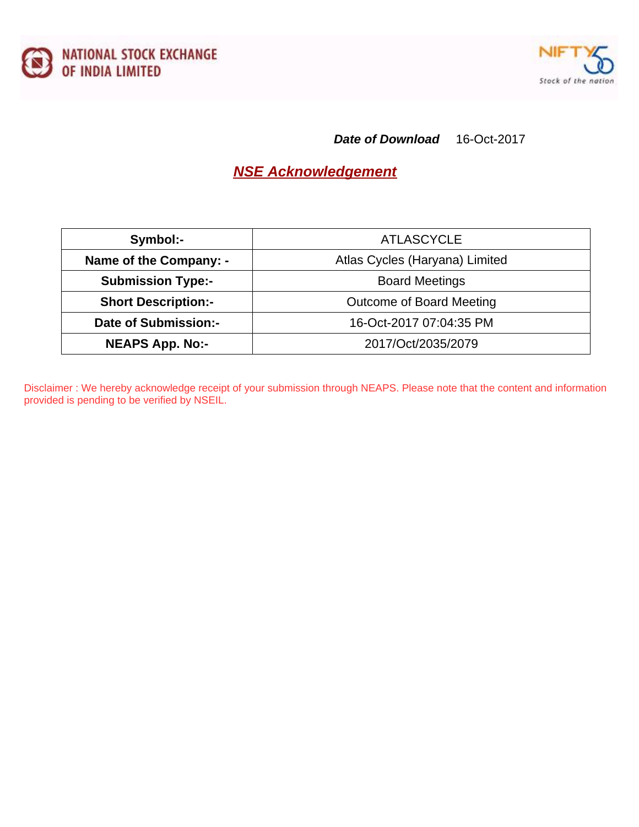



**Date of Download** 16-Oct-2017

### **NSE Acknowledgement**

| Symbol:-                    | <b>ATLASCYCLE</b>              |
|-----------------------------|--------------------------------|
| Name of the Company: -      | Atlas Cycles (Haryana) Limited |
| <b>Submission Type:-</b>    | <b>Board Meetings</b>          |
| <b>Short Description:-</b>  | Outcome of Board Meeting       |
| <b>Date of Submission:-</b> | 16-Oct-2017 07:04:35 PM        |
| <b>NEAPS App. No:-</b>      | 2017/Oct/2035/2079             |

Disclaimer : We hereby acknowledge receipt of your submission through NEAPS. Please note that the content and information provided is pending to be verified by NSEIL.